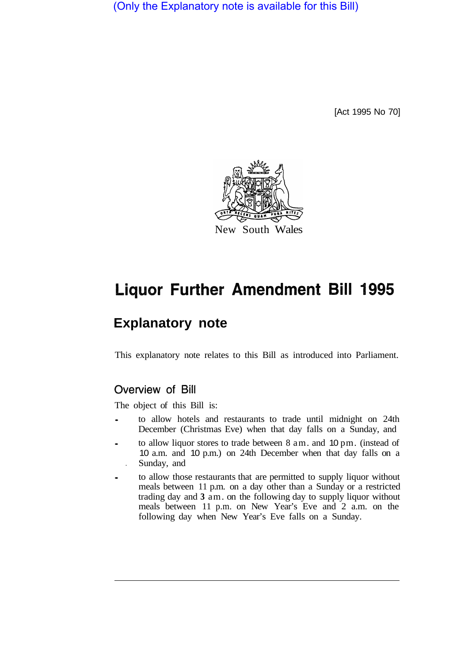(Only the Explanatory note is available for this Bill)

[Act 1995 No 70]



# **Liquor Further Amendment Bill 1995**

# **Explanatory note**

This explanatory note relates to this Bill as introduced into Parliament.

# Overview of Bill

The object of this Bill is:

- to allow hotels and restaurants to trade until midnight on 24th December (Christmas Eve) when that day falls on a Sunday, and
- to allow liquor stores to trade between 8 am. and 10 pm. (instead of 10 a.m. and 10 p.m.) on 24th December when that day falls on a **•** Sunday, and
- to allow those restaurants that are permitted to supply liquor without meals between 11 p.m. on a day other than a Sunday or a restricted trading day and **3** am. on the following day to supply liquor without meals between 11 p.m. on New Year's Eve and 2 a.m. on the following day when New Year's Eve falls on a Sunday.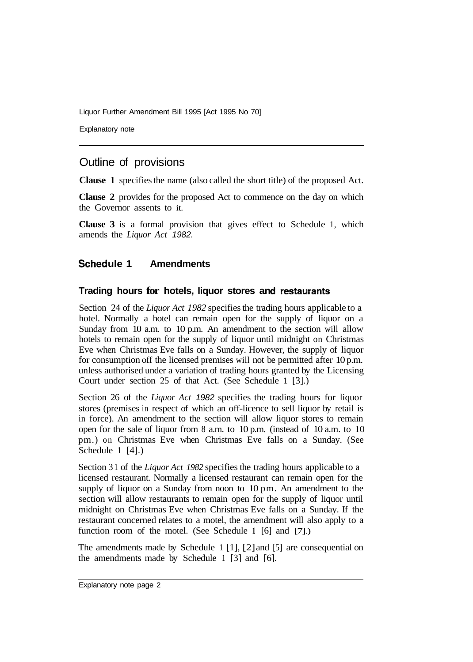Liquor Further Amendment Bill 1995 [Act 1995 No 70]

Explanatory note

## Outline of provisions

**Clause 1** specifies the name (also called the short title) of the proposed Act.

**Clause 2** provides for the proposed Act to commence on the day on which the Governor assents to it.

**Clause 3** is a formal provision that gives effect to Schedule 1, which amends the *Liquor Act 1982.* 

### Schedule 1 Amendments

#### **Trading hours for hotels, liquor stores and restaurants**

Section 24 of the *Liquor Act 1982* specifies the trading hours applicable to a hotel. Normally a hotel can remain open for the supply of liquor on a Sunday from 10 a.m. to 10 p.m. An amendment to the section will allow hotels to remain open for the supply of liquor until midnight on Christmas Eve when Christmas Eve falls on a Sunday. However, the supply of liquor for consumption off the licensed premises will not be permitted after 10 p.m. unless authorised under a variation of trading hours granted by the Licensing Court under section 25 of that Act. (See Schedule 1 [3].)

Section 26 of the *Liquor Act 1982* specifies the trading hours for liquor stores (premises in respect of which an off-licence to sell liquor by retail is in force). An amendment to the section will allow liquor stores to remain open for the sale of liquor from 8 a.m. to 10 p.m. (instead of 10 a.m. to 10 pm.) on Christmas Eve when Christmas Eve falls on a Sunday. (See Schedule 1 [4].)

Section 3 1 of the *Liquor Act 1982* specifies the trading hours applicable to a licensed restaurant. Normally a licensed restaurant can remain open for the supply of liquor on a Sunday from noon to 10 pm. An amendment to the section will allow restaurants to remain open for the supply of liquor until midnight on Christmas Eve when Christmas Eve falls on a Sunday. If the restaurant concerned relates to a motel, the amendment will also apply to a function room of the motel. (See Schedule **1** [6] and [7].)

The amendments made by Schedule 1 [1], [2] and [5] are consequential on the amendments made by Schedule 1 [3] and [6].